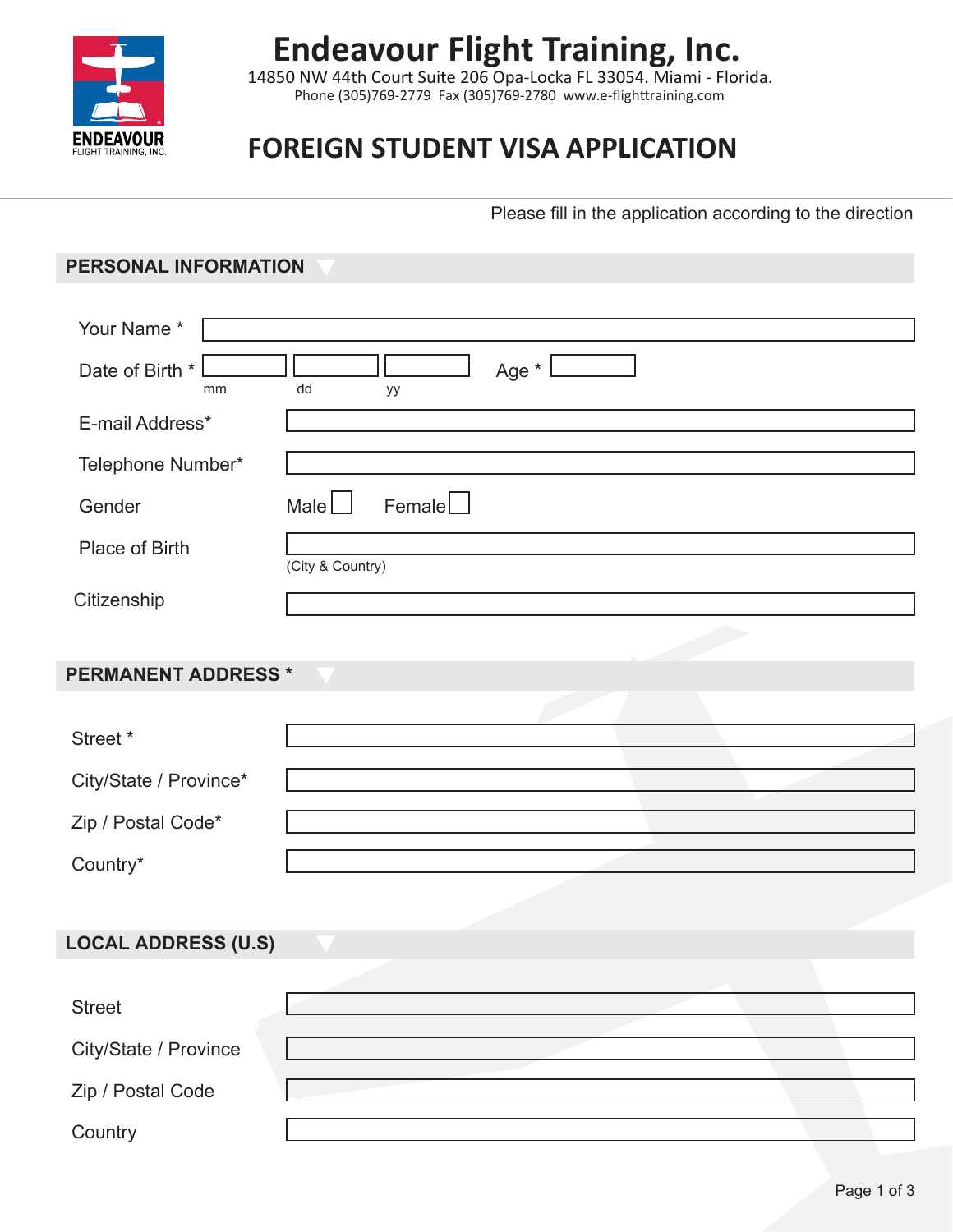

## **Endeavour Flight Training, Inc.**

Phone (305)769-2779 Fax (305)769-2780 www.e-flighttraining.com 14850 NW 44th Court Suite 206 Opa-Locka FL 33054. Miami - Florida.

### **FOREIGN STUDENT VISA APPLICATION**

Please fill in the application according to the direction

#### **PERSONAL INFORMATION**

| Your Name*                 |                                 |
|----------------------------|---------------------------------|
| Date of Birth *<br>mm      | Age *<br>dd<br>уу               |
| E-mail Address*            |                                 |
| Telephone Number*          |                                 |
| Gender                     | $F$ emale $\Box$<br>Male $\Box$ |
| Place of Birth             | (City & Country)                |
| Citizenship                |                                 |
|                            |                                 |
| <b>PERMANENT ADDRESS *</b> |                                 |
|                            |                                 |
| Street *                   |                                 |
| City/State / Province*     |                                 |
| Zip / Postal Code*         |                                 |
| Country*                   |                                 |
|                            |                                 |
| <b>LOCAL ADDRESS (U.S)</b> |                                 |
|                            |                                 |
| <b>Street</b>              |                                 |
| City/State / Province      |                                 |
| Zip / Postal Code          |                                 |
| Country                    |                                 |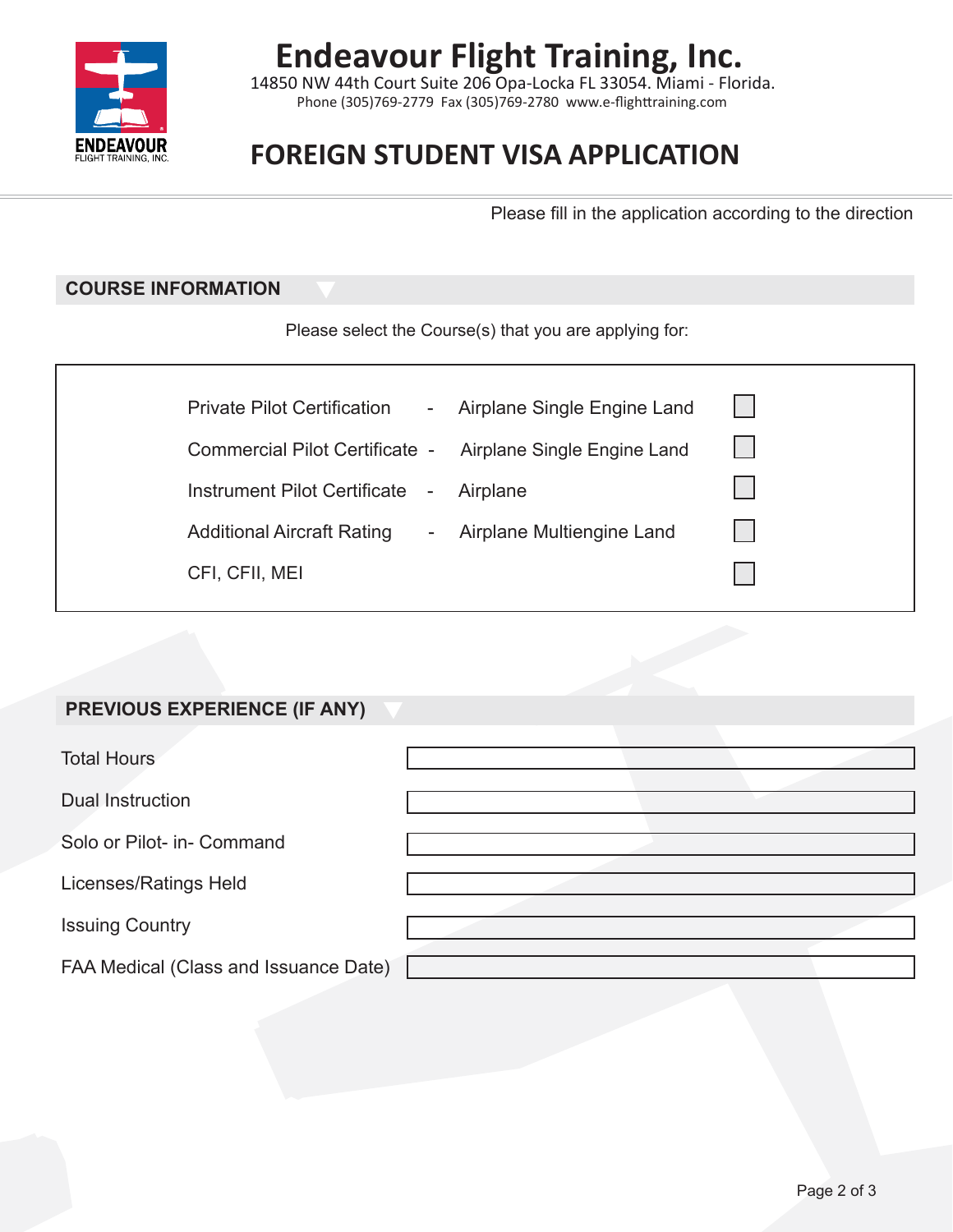

# **Endeavour Flight Training, Inc.**

Phone (305)769-2779 Fax (305)769-2780 www.e-flighttraining.com 14850 NW 44th Court Suite 206 Opa-Locka FL 33054. Miami - Florida.

### **FOREIGN STUDENT VISA APPLICATION**

Please fill in the application according to the direction

#### **COURSE INFORMATION**

Please select the Course(s) that you are applying for:

| <b>Private Pilot Certification</b><br>$\overline{\phantom{0}}$ | Airplane Single Engine Land |
|----------------------------------------------------------------|-----------------------------|
| Commercial Pilot Certificate -                                 | Airplane Single Engine Land |
| Instrument Pilot Certificate<br>$\sim$                         | Airplane                    |
| <b>Additional Aircraft Rating</b><br>$\frac{1}{2}$             | Airplane Multiengine Land   |
| CFI, CFII, MEI                                                 |                             |
|                                                                |                             |

#### **PREVIOUS EXPERIENCE (IF ANY)**

| <b>Total Hours</b>                    |  |
|---------------------------------------|--|
| Dual Instruction                      |  |
| Solo or Pilot- in- Command            |  |
| Licenses/Ratings Held                 |  |
| <b>Issuing Country</b>                |  |
| FAA Medical (Class and Issuance Date) |  |